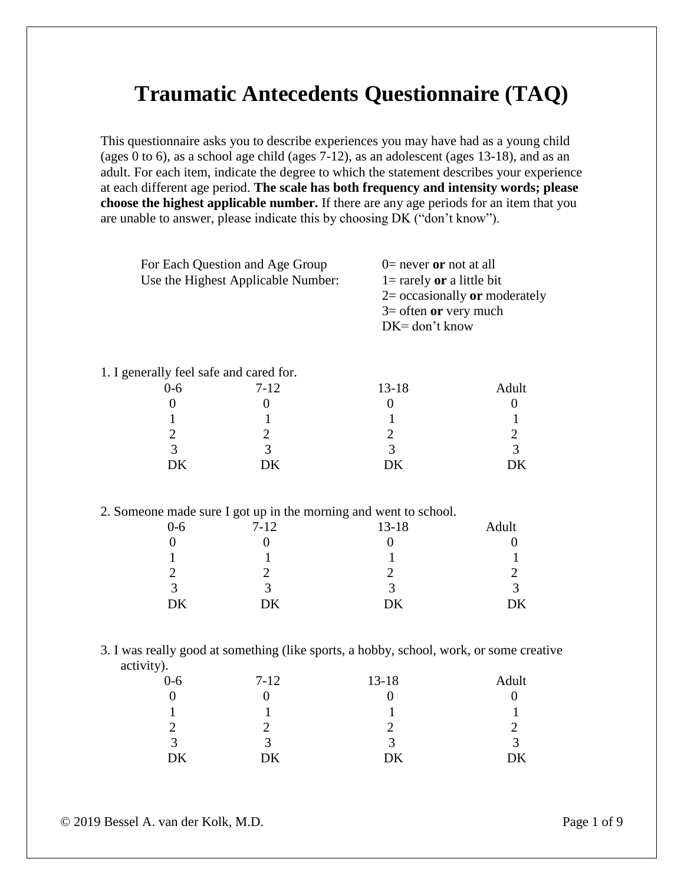# **Traumatic Antecedents Questionnaire (TAQ)**

This questionnaire asks you to describe experiences you may have had as a young child (ages 0 to 6), as a school age child (ages 7-12), as an adolescent (ages 13-18), and as an adult. For each item, indicate the degree to which the statement describes your experience at each different age period. **The scale has both frequency and intensity words; please choose the highest applicable number.** If there are any age periods for an item that you are unable to answer, please indicate this by choosing DK ("don't know").

| For Each Question and Age Group    | $0$ = never or not at all       |
|------------------------------------|---------------------------------|
| Use the Highest Applicable Number: | $1 =$ rarely or a little bit    |
|                                    | $2=$ occasionally or moderately |
|                                    | $3=$ often or very much         |
|                                    | $DK = don't know$               |
|                                    |                                 |

#### 1. I generally feel safe and cared for.

| $0 - 6$ | $7-12$ | $13 - 18$ | Adult |
|---------|--------|-----------|-------|
|         |        |           |       |
|         |        |           |       |
|         |        |           |       |
| ⌒       |        |           |       |
| DK      | DK     | DK        | DK    |

#### 2. Someone made sure I got up in the morning and went to school.

| $0 - 6$ | $7 - 12$ | $13 - 18$ | Adult |
|---------|----------|-----------|-------|
|         |          |           |       |
|         |          |           |       |
| ി       |          |           |       |
| っ       | 3        | ≺         | 2     |
| DK      | DK       | DK        | DK    |
|         |          |           |       |

#### 3. I was really good at something (like sports, a hobby, school, work, or some creative activity).

| $0 - 6$ | $7-12$ | $13 - 18$ | Adult |
|---------|--------|-----------|-------|
|         |        |           |       |
|         |        |           |       |
|         |        |           |       |
| ◠<br>≺  | ∡      |           | ≺     |
| DK      | DK     | DK        | DK    |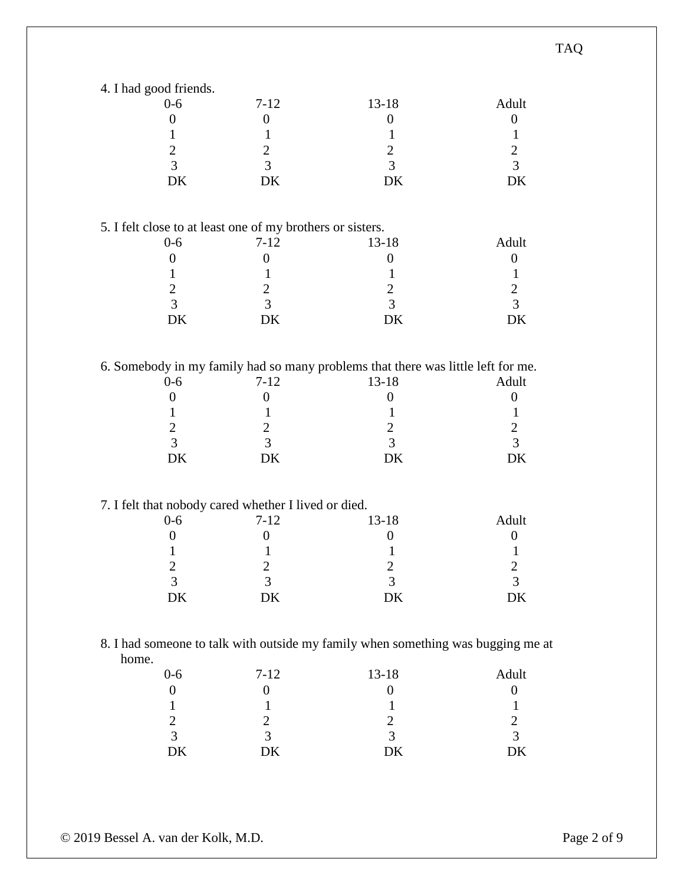| 4. I had good friends.                                     |                  |                                                                                  |                  |
|------------------------------------------------------------|------------------|----------------------------------------------------------------------------------|------------------|
| $0-6$                                                      | $7-12$           | $13 - 18$                                                                        | Adult            |
| $\boldsymbol{0}$                                           | $\boldsymbol{0}$ | $\boldsymbol{0}$                                                                 | $\boldsymbol{0}$ |
|                                                            |                  |                                                                                  |                  |
| $\mathbf{1}$                                               | 1                | 1                                                                                | $\mathbf{1}$     |
| $\sqrt{2}$                                                 | $\overline{2}$   | $\overline{2}$                                                                   | $\mathbf{2}$     |
| $\overline{3}$                                             | 3                | 3                                                                                | 3                |
| DK                                                         | DK               | DK                                                                               | DK               |
|                                                            |                  |                                                                                  |                  |
|                                                            |                  |                                                                                  |                  |
| 5. I felt close to at least one of my brothers or sisters. |                  |                                                                                  |                  |
| $0-6$                                                      | $7 - 12$         | 13-18                                                                            | Adult            |
| $\boldsymbol{0}$                                           | $\boldsymbol{0}$ | $\boldsymbol{0}$                                                                 | $\boldsymbol{0}$ |
| 1                                                          | 1                | 1                                                                                | 1                |
| $\overline{2}$                                             | $\overline{c}$   | $\overline{c}$                                                                   | $\overline{2}$   |
| $\overline{3}$                                             | 3                | 3                                                                                | 3                |
|                                                            |                  |                                                                                  |                  |
| DK                                                         | DK               | DK                                                                               | DK               |
|                                                            |                  |                                                                                  |                  |
|                                                            |                  | 6. Somebody in my family had so many problems that there was little left for me. |                  |
| $0 - 6$                                                    | $7 - 12$         | $13 - 18$                                                                        | Adult            |
| $\boldsymbol{0}$                                           | $\boldsymbol{0}$ | $\overline{0}$                                                                   | $\boldsymbol{0}$ |
| 1                                                          | 1                | 1                                                                                | $\mathbf{1}$     |
| $\mathbf{2}$                                               |                  | $\mathbf{2}$                                                                     | $\mathbf{2}$     |
|                                                            | $\overline{2}$   |                                                                                  |                  |
| $\overline{3}$                                             | 3                | 3                                                                                | 3                |
| DK                                                         | DK               | DK                                                                               | DK               |
|                                                            |                  |                                                                                  |                  |
| 7. I felt that nobody cared whether I lived or died.       |                  |                                                                                  |                  |
| $0 - 6$                                                    | $7 - 12$         | $13 - 18$                                                                        | Adult            |
| $\boldsymbol{0}$                                           | $\boldsymbol{0}$ | $\boldsymbol{0}$                                                                 | $\boldsymbol{0}$ |
| 1                                                          | 1                |                                                                                  | 1                |
| $\overline{2}$                                             | 2                | 2                                                                                | 2                |
| 3                                                          | 3                | 3                                                                                | 3                |
|                                                            |                  |                                                                                  |                  |
| DK                                                         | DK               | DK                                                                               | DK               |
|                                                            |                  |                                                                                  |                  |
|                                                            |                  | 8. I had someone to talk with outside my family when something was bugging me at |                  |
| home.                                                      |                  |                                                                                  |                  |
| $0-6$                                                      | $7-12$           | 13-18                                                                            | Adult            |
| $\boldsymbol{0}$                                           | $\boldsymbol{0}$ | $\boldsymbol{0}$                                                                 | $\boldsymbol{0}$ |
| $\mathbf{1}$                                               | 1                | 1                                                                                | $\mathbf{1}$     |
| $\overline{2}$                                             | $\overline{2}$   | $\mathbf{2}$                                                                     | $\overline{2}$   |
|                                                            |                  |                                                                                  |                  |
| $\overline{3}$                                             | $\overline{3}$   | 3                                                                                | $\overline{3}$   |
| $\rm DK$                                                   | DK               | DK                                                                               | DK               |

TAQ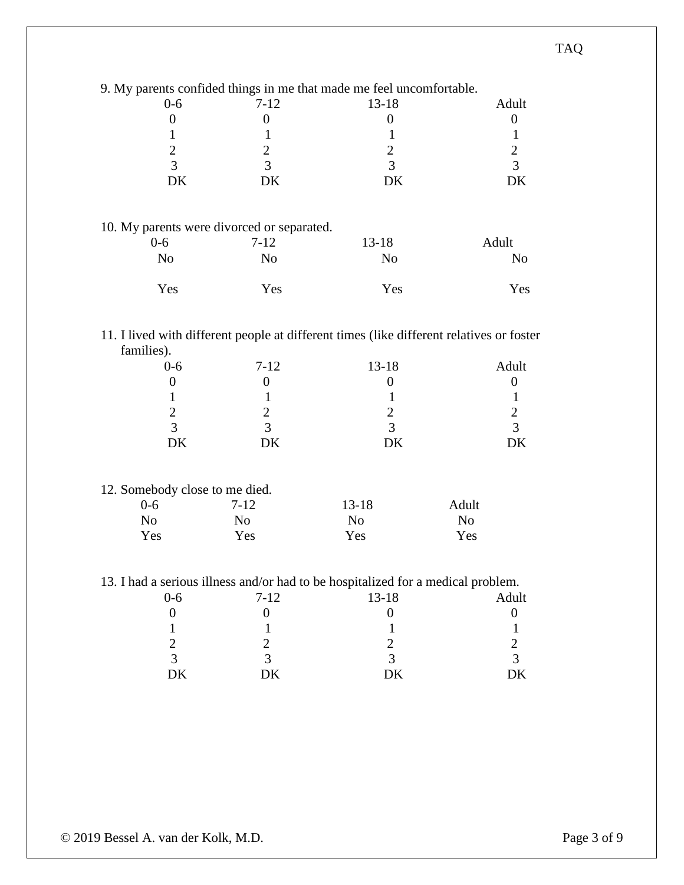|                                                         |                                              | 9. My parents confided things in me that made me feel uncomfortable.             |                                                                                                                                       |
|---------------------------------------------------------|----------------------------------------------|----------------------------------------------------------------------------------|---------------------------------------------------------------------------------------------------------------------------------------|
| $0-6$                                                   | $7 - 12$                                     | $13 - 18$                                                                        | Adult                                                                                                                                 |
| $\mathbf{0}$                                            | $\boldsymbol{0}$                             | $\boldsymbol{0}$                                                                 | $\boldsymbol{0}$                                                                                                                      |
| $\mathbf{1}$                                            | $\mathbf{1}$                                 | $\mathbf{1}$                                                                     | $\mathbf{1}$                                                                                                                          |
| $\overline{2}$                                          | $\overline{2}$                               | $\overline{2}$                                                                   | $\overline{2}$                                                                                                                        |
| 3                                                       | 3                                            | 3                                                                                | 3                                                                                                                                     |
| DK                                                      | DK                                           | <b>DK</b>                                                                        | <b>DK</b>                                                                                                                             |
|                                                         |                                              |                                                                                  |                                                                                                                                       |
| 10. My parents were divorced or separated.              |                                              |                                                                                  |                                                                                                                                       |
| $0 - 6$                                                 | $7 - 12$                                     | $13 - 18$                                                                        | Adult                                                                                                                                 |
| N <sub>o</sub>                                          | N <sub>o</sub>                               | N <sub>o</sub>                                                                   | N <sub>o</sub>                                                                                                                        |
|                                                         |                                              |                                                                                  |                                                                                                                                       |
| Yes                                                     | Yes                                          | Yes                                                                              | Yes                                                                                                                                   |
| families).<br>$0 - 6$<br>$\overline{0}$<br>$\mathbf{1}$ | $7 - 12$<br>$\boldsymbol{0}$<br>$\mathbf{1}$ | $13 - 18$<br>$\overline{0}$<br>$\mathbf{1}$                                      | 11. I lived with different people at different times (like different relatives or foster<br>Adult<br>$\boldsymbol{0}$<br>$\mathbf{1}$ |
| $\overline{2}$                                          | $\overline{2}$                               | $\mathfrak{2}$                                                                   | $\overline{2}$                                                                                                                        |
| 3                                                       | $\overline{3}$                               | $\overline{3}$                                                                   | 3                                                                                                                                     |
| DK                                                      | DK                                           | <b>DK</b>                                                                        | DK                                                                                                                                    |
| 12. Somebody close to me died.                          |                                              |                                                                                  |                                                                                                                                       |
| $0 - 6$                                                 | $7 - 12$                                     | $13 - 18$                                                                        | Adult                                                                                                                                 |
| N <sub>o</sub>                                          | N <sub>o</sub>                               | N <sub>o</sub>                                                                   | N <sub>o</sub>                                                                                                                        |
| Yes                                                     | Yes                                          | Yes                                                                              | Yes                                                                                                                                   |
|                                                         |                                              | 13. I had a serious illness and/or had to be hospitalized for a medical problem. |                                                                                                                                       |
| $0-6$                                                   | $7 - 12$                                     | $13 - 18$                                                                        | Adult                                                                                                                                 |
| $\boldsymbol{0}$                                        | $\boldsymbol{0}$                             | $\boldsymbol{0}$                                                                 | $\boldsymbol{0}$                                                                                                                      |
| $\mathbf 1$                                             | $\mathbf{1}$                                 | $\mathbf{1}$                                                                     | 1                                                                                                                                     |

2 2 2 2 2 2

DK DK DK DK

3 3 3 3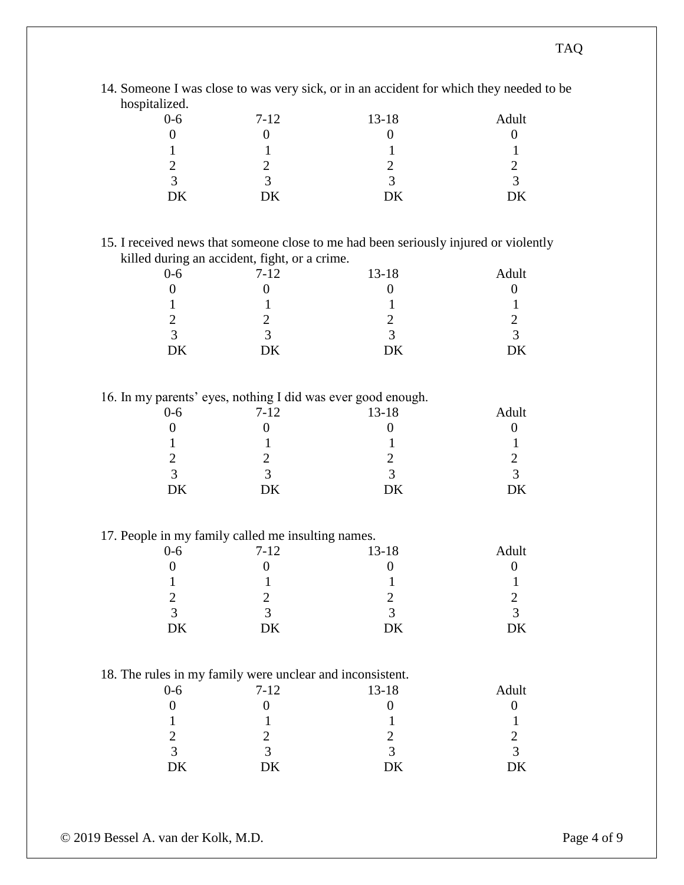| 14. Someone I was close to was very sick, or in an accident for which they needed to be |  |  |  |
|-----------------------------------------------------------------------------------------|--|--|--|
| hospitalized.                                                                           |  |  |  |

| $0 - 6$     | $7-12$ | $13 - 18$    | Adult |
|-------------|--------|--------------|-------|
|             |        |              |       |
|             |        |              |       |
|             |        |              |       |
| $\mathbf 3$ |        | $\mathbf{c}$ |       |
| ŊК          | DK     | DK           |       |

## 15. I received news that someone close to me had been seriously injured or violently killed during an accident, fight, or a crime.

| $0 - 6$ | $7 - 12$ | $13 - 18$     | Adult  |
|---------|----------|---------------|--------|
|         |          |               |        |
|         |          |               |        |
|         |          |               |        |
| ◠<br>≺  | ⌒        | $\mathcal{R}$ | ⌒<br>≺ |
| DΚ      | DK       | DK            | DK     |

16. In my parents' eyes, nothing I did was ever good enough.

| . .<br>$0 - 6$ | . .<br>$\overline{\phantom{a}}$<br>$7 - 12$ | -<br>$13 - 18$ | -<br>Adult |
|----------------|---------------------------------------------|----------------|------------|
|                |                                             |                |            |
|                |                                             |                |            |
|                |                                             |                |            |
|                |                                             |                |            |
| ⌒              |                                             | ⌒              |            |
| DK             | DK                                          | DK             | DK         |

## 17. People in my family called me insulting names.

| $0 - 6$ | $7 - 12$ | $13 - 18$ | Adult |
|---------|----------|-----------|-------|
|         |          |           |       |
|         |          |           |       |
|         |          |           |       |
| ◠       |          | ⌒<br>≺    |       |
| DK      | DK       | DK        | DK    |

## 18. The rules in my family were unclear and inconsistent.

| $0 - 6$ | $7 - 12$ | $13 - 18$ | Adult             |
|---------|----------|-----------|-------------------|
|         |          |           |                   |
|         |          |           |                   |
|         |          |           |                   |
|         | ≺        |           | $\mathbf{\Omega}$ |
| DK      | DK       | DK        | DK                |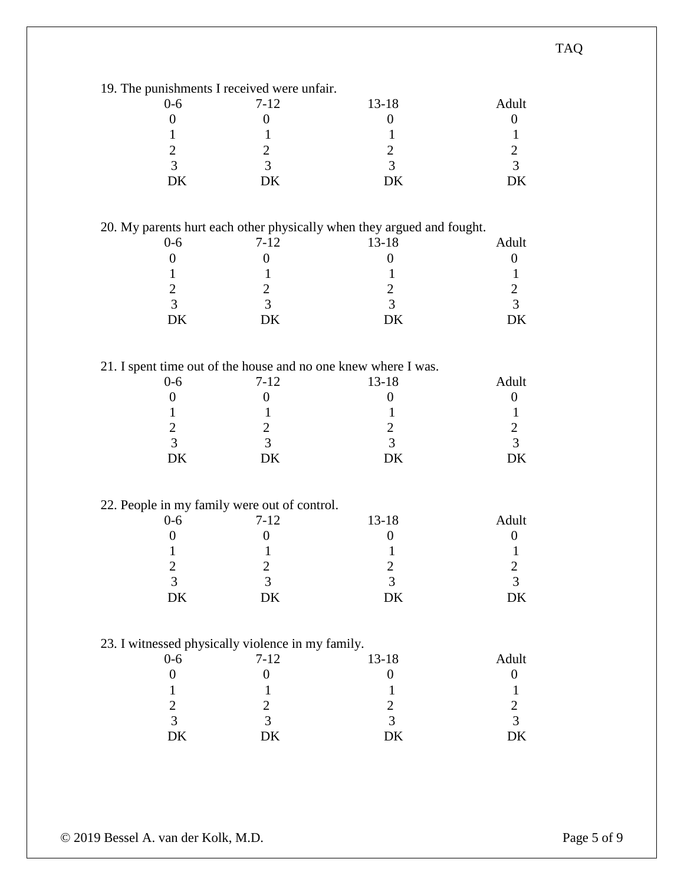| 19. The punishments I received were unfair.       |                  |                                                                        |                  |
|---------------------------------------------------|------------------|------------------------------------------------------------------------|------------------|
| $0-6$                                             | $7 - 12$         | $13 - 18$                                                              | Adult            |
|                                                   |                  |                                                                        |                  |
| $\boldsymbol{0}$                                  | $\boldsymbol{0}$ | $\boldsymbol{0}$                                                       | $\theta$         |
| 1                                                 | 1                | 1                                                                      | $\mathbf{1}$     |
| $\mathbf{2}$                                      | 2                | $\mathbf{2}$                                                           | $\overline{2}$   |
| 3                                                 | 3                | 3                                                                      | $\overline{3}$   |
| DK                                                | DK               | DK                                                                     | DK               |
|                                                   |                  |                                                                        |                  |
|                                                   |                  |                                                                        |                  |
|                                                   |                  | 20. My parents hurt each other physically when they argued and fought. |                  |
| $0-6$                                             | $7 - 12$         | $13 - 18$                                                              | Adult            |
| $\boldsymbol{0}$                                  | $\boldsymbol{0}$ | $\boldsymbol{0}$                                                       | $\boldsymbol{0}$ |
| $\mathbf{1}$                                      | 1                | $\mathbf{1}$                                                           | $\mathbf{1}$     |
| $\mathbf{2}$                                      | $\overline{2}$   | $\overline{2}$                                                         | $\overline{2}$   |
| 3                                                 | 3                | $\overline{3}$                                                         | $\overline{3}$   |
| DK                                                | DK               | DK                                                                     | DK               |
|                                                   |                  |                                                                        |                  |
|                                                   |                  |                                                                        |                  |
|                                                   |                  | 21. I spent time out of the house and no one knew where I was.         |                  |
| $0-6$                                             | $7 - 12$         | $13 - 18$                                                              | Adult            |
| $\overline{0}$                                    | 0                | $\boldsymbol{0}$                                                       | $\overline{0}$   |
| 1                                                 | 1                | 1                                                                      | 1                |
| $\mathbf{2}$                                      | 2                | $\mathbf{2}$                                                           | $\overline{2}$   |
| 3                                                 | 3                | 3                                                                      | $\overline{3}$   |
| DK                                                | DK               | DK                                                                     | DK               |
|                                                   |                  |                                                                        |                  |
|                                                   |                  |                                                                        |                  |
| 22. People in my family were out of control.      |                  |                                                                        |                  |
| $0 - 6$                                           | $7 - 12$         | $13 - 18$                                                              | Adult            |
| $\overline{0}$                                    | $\boldsymbol{0}$ | $\overline{0}$                                                         | $\boldsymbol{0}$ |
| 1                                                 | 1                | 1                                                                      | 1                |
| $\overline{2}$                                    | 2                | $\overline{2}$                                                         | 2                |
| $\mathfrak{Z}$                                    | $\mathfrak{Z}$   | 3                                                                      | 3                |
| DK                                                | DK               | DK                                                                     | DK               |
|                                                   |                  |                                                                        |                  |
|                                                   |                  |                                                                        |                  |
| 23. I witnessed physically violence in my family. |                  |                                                                        |                  |
| $0 - 6$                                           | $7 - 12$         | 13-18                                                                  | Adult            |
| $\boldsymbol{0}$                                  | $\boldsymbol{0}$ | $\boldsymbol{0}$                                                       | $\boldsymbol{0}$ |
| $\mathbf{1}$                                      | 1                | $\mathbf{1}$                                                           | $\mathbf{1}$     |
| $\overline{c}$                                    | $\overline{c}$   | $\overline{c}$                                                         | 2                |
| $\overline{3}$                                    | $\overline{3}$   | $\overline{3}$                                                         | 3                |
| DK                                                | DK               | DK                                                                     | DK               |
|                                                   |                  |                                                                        |                  |

## TAQ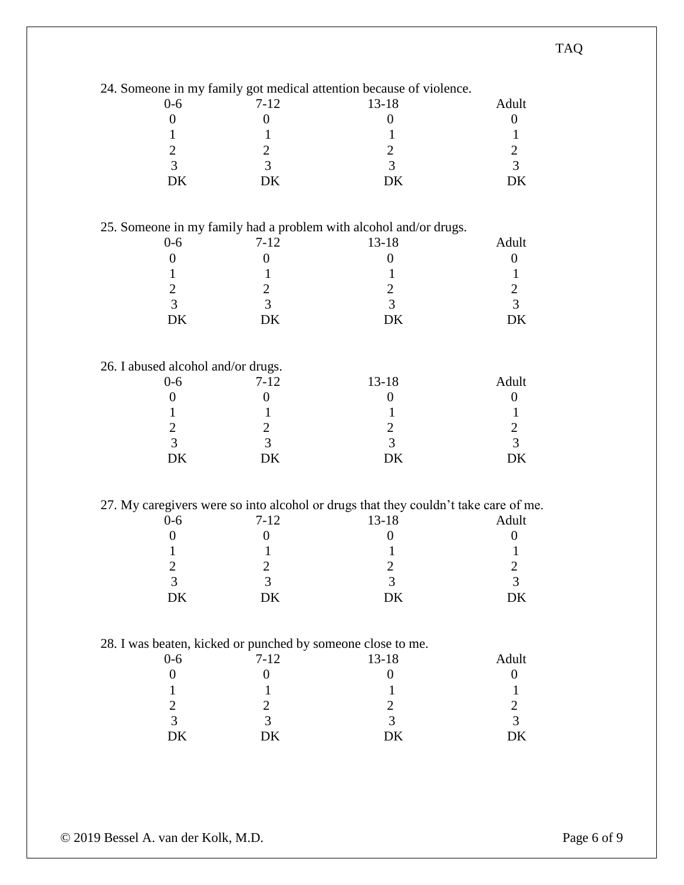|                                                             |                  | 24. Someone in my family got medical attention because of violence.                 |                  |
|-------------------------------------------------------------|------------------|-------------------------------------------------------------------------------------|------------------|
| $0-6$                                                       | $7 - 12$         | $13 - 18$                                                                           | Adult            |
| $\boldsymbol{0}$                                            | $\boldsymbol{0}$ | $\boldsymbol{0}$                                                                    | $\boldsymbol{0}$ |
| 1                                                           | 1                | 1                                                                                   | 1                |
| $\overline{2}$                                              | $\overline{2}$   | $\overline{2}$                                                                      | $\mathbf{2}$     |
| 3                                                           | $\overline{3}$   | $\overline{3}$                                                                      | $\overline{3}$   |
| DK                                                          | DK               | DK                                                                                  | DK               |
|                                                             |                  |                                                                                     |                  |
|                                                             |                  | 25. Someone in my family had a problem with alcohol and/or drugs.                   |                  |
| $0-6$                                                       | $7 - 12$         | $13 - 18$                                                                           | Adult            |
|                                                             |                  |                                                                                     |                  |
| $\boldsymbol{0}$                                            | $\boldsymbol{0}$ | $\boldsymbol{0}$                                                                    | $\boldsymbol{0}$ |
| 1                                                           | 1                | 1                                                                                   | $\mathbf{1}$     |
| $\overline{c}$                                              | $\overline{2}$   | $\overline{2}$                                                                      | $\mathbf{2}$     |
| $\overline{3}$                                              | 3                | 3                                                                                   | 3                |
| DK                                                          | DK               | DK                                                                                  | DK               |
|                                                             |                  |                                                                                     |                  |
| 26. I abused alcohol and/or drugs.                          |                  |                                                                                     |                  |
| $0 - 6$                                                     | $7 - 12$         | $13 - 18$                                                                           | Adult            |
| $\boldsymbol{0}$                                            | $\overline{0}$   | $\boldsymbol{0}$                                                                    | $\theta$         |
| 1                                                           | 1                | 1                                                                                   | 1                |
| $\mathbf{2}$                                                | $\overline{2}$   | $\overline{2}$                                                                      | $\sqrt{2}$       |
| 3                                                           | 3                | 3                                                                                   | 3                |
| DK                                                          | DK               | DK                                                                                  | DK               |
|                                                             |                  |                                                                                     |                  |
|                                                             |                  |                                                                                     |                  |
|                                                             |                  | 27. My caregivers were so into alcohol or drugs that they couldn't take care of me. | Adult            |
| $0-6$                                                       | $7 - 12$         | $13 - 18$                                                                           |                  |
| $\boldsymbol{0}$                                            | $\boldsymbol{0}$ | $\boldsymbol{0}$                                                                    | $\overline{0}$   |
|                                                             | 1                | 1                                                                                   | 1                |
| 2                                                           | $\overline{2}$   | 2                                                                                   | 2                |
| 3                                                           | 3                | 3                                                                                   | 3                |
| DK                                                          | DK               | DK                                                                                  | DK               |
|                                                             |                  |                                                                                     |                  |
| 28. I was beaten, kicked or punched by someone close to me. |                  |                                                                                     |                  |
| $0 - 6$                                                     | $7 - 12$         | $13 - 18$                                                                           | Adult            |
| $\boldsymbol{0}$                                            | $\boldsymbol{0}$ | $\boldsymbol{0}$                                                                    | $\boldsymbol{0}$ |
| 1                                                           | 1                | 1                                                                                   | $\mathbf{1}$     |
| $\overline{c}$                                              | $\mathbf{2}$     | $\overline{c}$                                                                      | $\overline{c}$   |
| $\overline{3}$                                              | 3                | 3                                                                                   | $\overline{3}$   |
| DK                                                          | DK               | DK                                                                                  | DK               |
|                                                             |                  |                                                                                     |                  |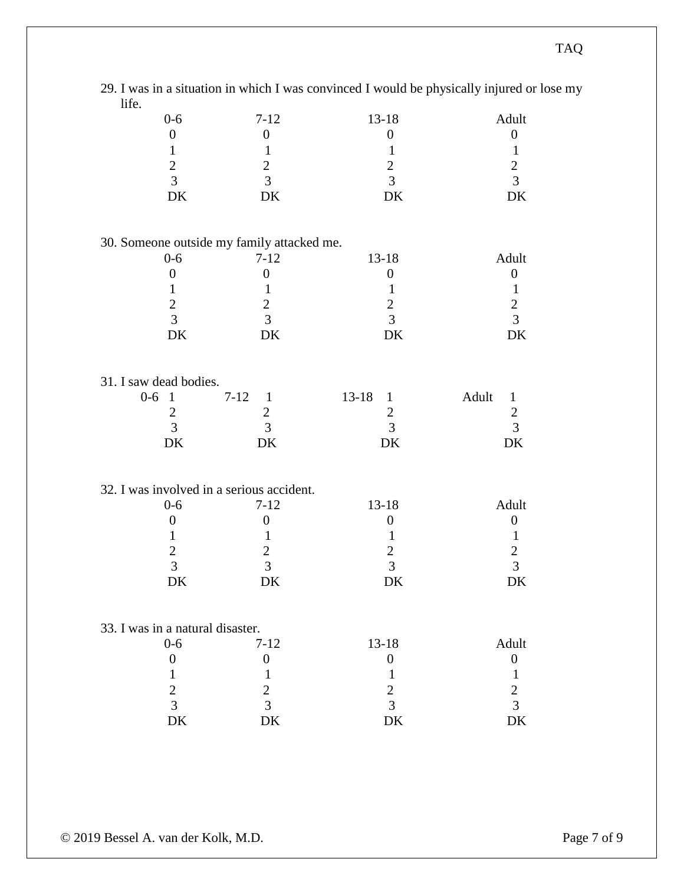|                                            |                          |                           | 29. I was in a situation in which I was convinced I would be physically injured or lose my |
|--------------------------------------------|--------------------------|---------------------------|--------------------------------------------------------------------------------------------|
| life.                                      |                          |                           |                                                                                            |
| $0-6$                                      | $7 - 12$                 | $13 - 18$                 | Adult                                                                                      |
| $\boldsymbol{0}$                           | $\boldsymbol{0}$         | $\boldsymbol{0}$          | $\boldsymbol{0}$                                                                           |
| 1                                          | 1                        | $\mathbf{1}$              | $\mathbf{1}$                                                                               |
| $\mathbf{2}$                               | $\overline{c}$           | $\mathbf{2}$              | $\overline{c}$                                                                             |
| $\overline{3}$                             | $\overline{3}$           | $\overline{3}$            | $\overline{3}$                                                                             |
| DK                                         | DK                       | DK                        | DK                                                                                         |
| 30. Someone outside my family attacked me. |                          |                           |                                                                                            |
| $0-6$                                      | $7 - 12$                 | $13 - 18$                 | Adult                                                                                      |
| $\boldsymbol{0}$                           | $\boldsymbol{0}$         | $\boldsymbol{0}$          | $\boldsymbol{0}$                                                                           |
| 1                                          | 1                        | 1                         | $\mathbf{1}$                                                                               |
| $\overline{c}$                             | $\mathbf{2}$             | $\mathbf{2}$              | $\sqrt{2}$                                                                                 |
| $\overline{3}$                             | 3                        | 3                         | 3                                                                                          |
| DK                                         | DK                       | DK                        | DK                                                                                         |
| 31. I saw dead bodies.                     |                          |                           |                                                                                            |
| $0-6$<br>$\overline{1}$                    | $7 - 12$<br>$\mathbf{1}$ | $13 - 18$<br>$\mathbf{1}$ | Adult<br>$\mathbf{1}$                                                                      |
| $\overline{2}$                             | $\overline{2}$           | $\mathbf{2}$              | $\mathbf{2}$                                                                               |
| 3                                          | 3                        | 3                         | 3                                                                                          |
| DK                                         | DK                       | DK                        | DK                                                                                         |
| 32. I was involved in a serious accident.  |                          |                           |                                                                                            |
| $0 - 6$                                    | $7 - 12$                 | $13 - 18$                 | Adult                                                                                      |
| $\boldsymbol{0}$                           | $\boldsymbol{0}$         | $\boldsymbol{0}$          | $\boldsymbol{0}$                                                                           |
| 1                                          | 1                        | 1                         |                                                                                            |
|                                            | 2                        |                           | 1                                                                                          |
| $\overline{\mathbf{c}}$<br>3               | 3                        | $\overline{c}$<br>3       | $\overline{c}$<br>3                                                                        |
| DK                                         | DK                       | DK                        | DK                                                                                         |
|                                            |                          |                           |                                                                                            |
| 33. I was in a natural disaster.           |                          |                           |                                                                                            |
| $0 - 6$                                    | $7 - 12$                 | $13 - 18$                 | Adult                                                                                      |
| $\boldsymbol{0}$                           | $\boldsymbol{0}$         | $\boldsymbol{0}$          | $\boldsymbol{0}$                                                                           |
| $\mathbf{1}$                               | 1                        | $\mathbf{1}$              | $\mathbf{1}$                                                                               |
| $\overline{c}$                             | $\overline{2}$           | $\overline{2}$            | $\overline{2}$                                                                             |
| $\overline{3}$                             | 3                        | 3                         | $\overline{3}$                                                                             |
| DK                                         | DK                       | DK                        | DK                                                                                         |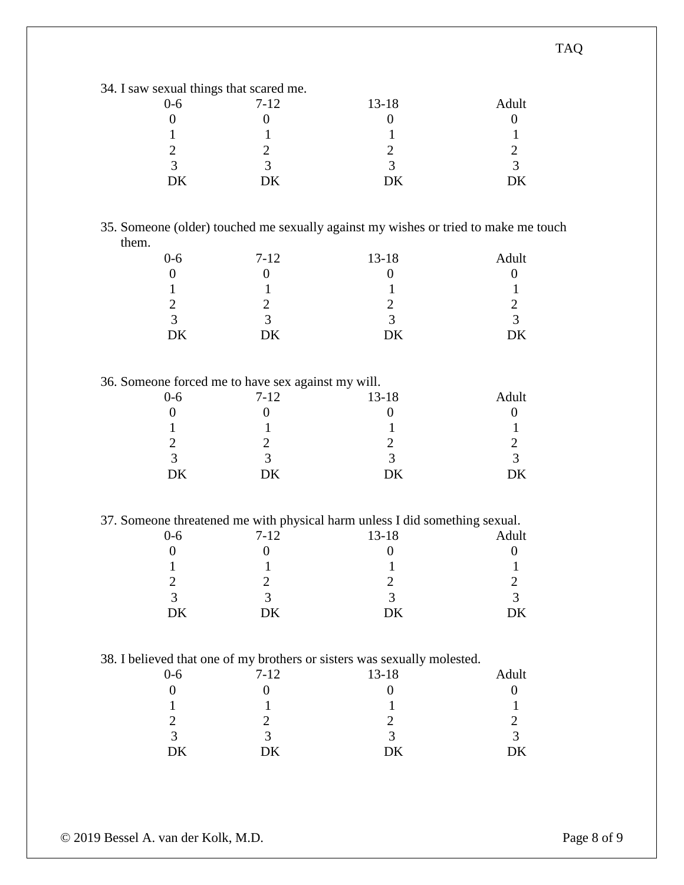34. I saw sexual things that scared me.

| ັ      |          |           |       |
|--------|----------|-----------|-------|
| $0-6$  | $7 - 12$ | $13 - 18$ | Adult |
|        |          |           |       |
|        |          |           |       |
|        |          |           |       |
| ⌒<br>≺ | ⌒        |           |       |
| DΚ     | DК       | DК        | DK    |

#### 35. Someone (older) touched me sexually against my wishes or tried to make me touch them.

| $0 - 6$ | $7 - 12$ | $13 - 18$ | Adult |
|---------|----------|-----------|-------|
|         |          |           |       |
|         |          |           |       |
|         |          |           |       |
| っ       |          |           | 2     |
| ŊК      | DК       | DК        | DK    |

#### 36. Someone forced me to have sex against my will.

| $0 - 6$ | $7-12$ | $13 - 18$ | Adult |
|---------|--------|-----------|-------|
|         |        |           |       |
|         |        |           |       |
|         |        |           |       |
| ⌒       |        | ⌒<br>≺    |       |
| DK      | DK     | DK        | DK    |

37. Someone threatened me with physical harm unless I did something sexual.

| $0 - 6$ | $7 - 12$ | $13 - 18$ | Adult |
|---------|----------|-----------|-------|
|         |          |           |       |
|         |          |           |       |
|         |          |           |       |
| 2       | ≺        | ≺         | っ     |
| DK      | DK       | DК        | ж     |
|         |          |           |       |

#### 38. I believed that one of my brothers or sisters was sexually molested.

| $0 - 6$ | $7-12$ | $\cdot$<br>$13 - 18$ | Adult       |
|---------|--------|----------------------|-------------|
|         |        |                      |             |
|         |        |                      |             |
|         |        |                      |             |
| 2       |        | ⌒                    | $\sim$<br>≺ |
| DK      | DK     | DK                   | DK          |

TAQ